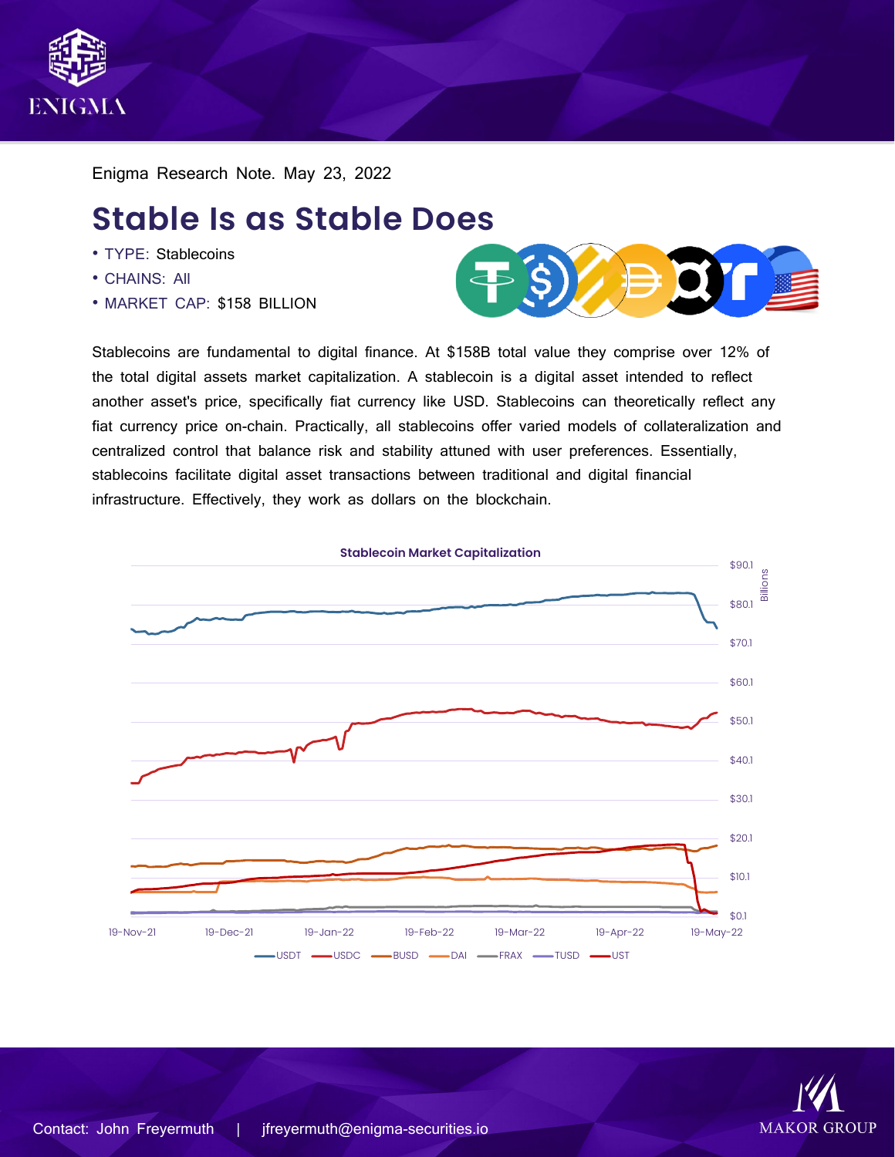

Enigma Research Note. May 23, 2022

# **Stable Is as Stable Does**

- TYPE: Stablecoins
- CHAINS: All
- MARKET CAP: \$158 BILLION



Stablecoins are fundamental to digital finance. At \$158B total value they comprise over 12% of the total digital assets market capitalization. A stablecoin is a digital asset intended to reflect another asset's price, specifically fiat currency like USD. Stablecoins can theoretically reflect any fiat currency price on-chain. Practically, all stablecoins offer varied models of collateralization and centralized control that balance risk and stability attuned with user preferences. Essentially, stablecoins facilitate digital asset transactions between traditional and digital financial infrastructure. Effectively, they work as dollars on the blockchain.



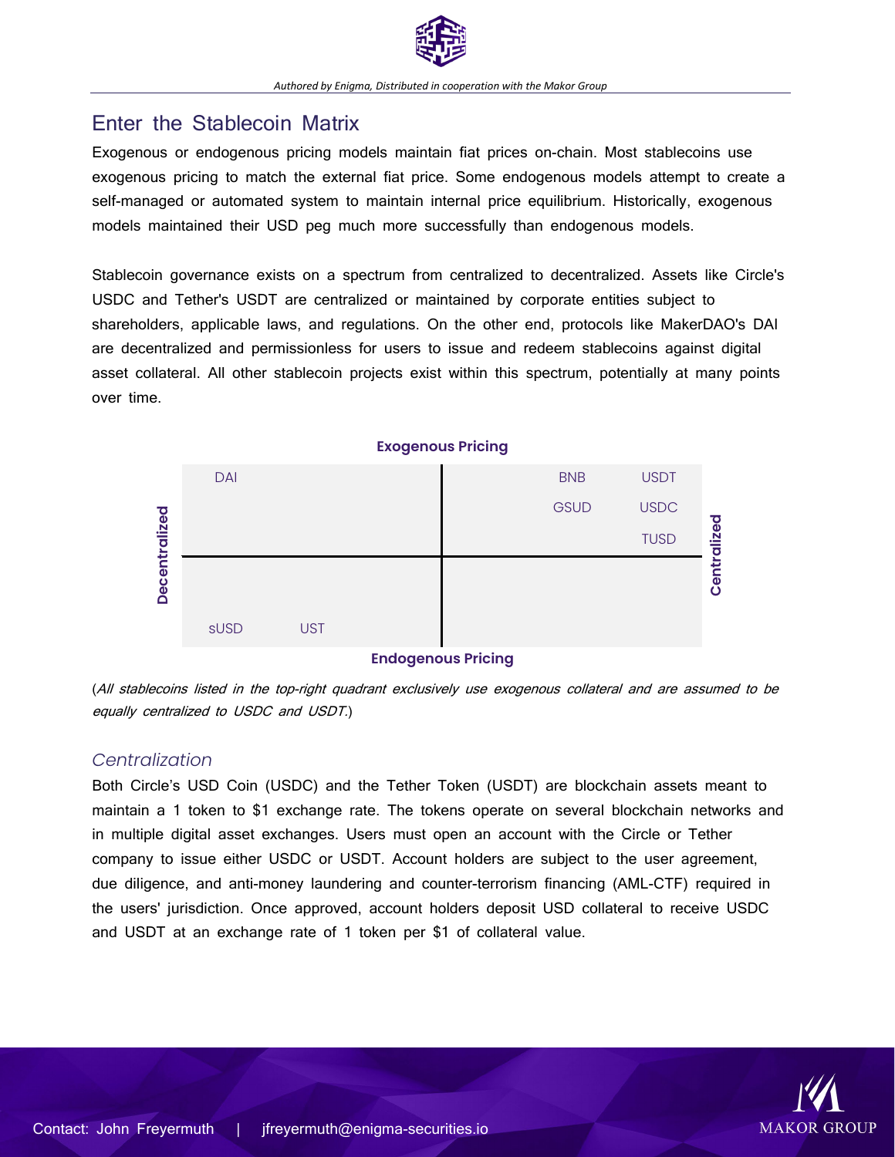

## Enter the Stablecoin Matrix

Exogenous or endogenous pricing models maintain fiat prices on-chain. Most stablecoins use exogenous pricing to match the external fiat price. Some endogenous models attempt to create a self-managed or automated system to maintain internal price equilibrium. Historically, exogenous models maintained their USD peg much more successfully than endogenous models.

Stablecoin governance exists on a spectrum from centralized to decentralized. Assets like Circle's USDC and Tether's USDT are centralized or maintained by corporate entities subject to shareholders, applicable laws, and regulations. On the other end, protocols like MakerDAO's DAI are decentralized and permissionless for users to issue and redeem stablecoins against digital asset collateral. All other stablecoin projects exist within this spectrum, potentially at many points over time.



#### **Endogenous Pricing**

(All stablecoins listed in the top-right quadrant exclusively use exogenous collateral and are assumed to be equally centralized to USDC and USDT.)

## *Centralization*

Both Circle's USD Coin (USDC) and the Tether Token (USDT) are blockchain assets meant to maintain a 1 token to \$1 exchange rate. The tokens operate on several blockchain networks and in multiple digital asset exchanges. Users must open an account with the Circle or Tether company to issue either USDC or USDT. Account holders are subject to the user agreement, due diligence, and anti-money laundering and counter-terrorism financing (AML-CTF) required in the users' jurisdiction. Once approved, account holders deposit USD collateral to receive USDC and USDT at an exchange rate of 1 token per \$1 of collateral value.

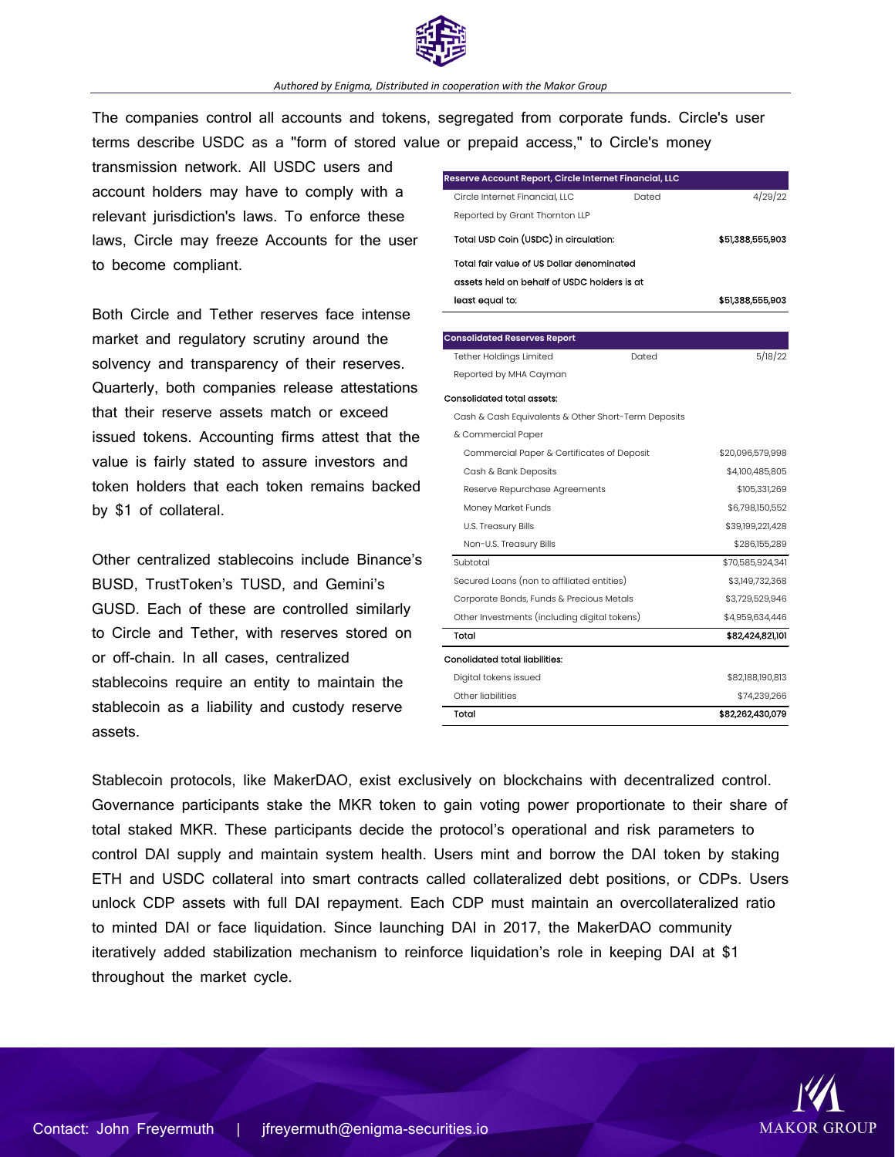

#### *Authored by Enigma, Distributed in cooperation with the Makor Group*

The companies control all accounts and tokens, segregated from corporate funds. Circle's user terms describe USDC as a "form of stored value or prepaid access," to Circle's money

transmission network. All USDC users and account holders may have to comply with a relevant jurisdiction's laws. To enforce these laws, Circle may freeze Accounts for the user to become compliant.

Both Circle and Tether reserves face intense market and regulatory scrutiny around the solvency and transparency of their reserves. Quarterly, both companies release attestations that their reserve assets match or exceed issued tokens. Accounting firms attest that the value is fairly stated to assure investors and token holders that each token remains backed by \$1 of collateral.

Other centralized stablecoins include Binance's BUSD, TrustToken's TUSD, and Gemini's GUSD. Each of these are controlled similarly to Circle and Tether, with reserves stored on or off-chain. In all cases, centralized stablecoins require an entity to maintain the stablecoin as a liability and custody reserve assets.

| Reserve Account Report, Circle Internet Financial, LLC |       |                  |
|--------------------------------------------------------|-------|------------------|
| Circle Internet Financial, LLC                         | Dated | 4/29/22          |
| Reported by Grant Thornton LLP                         |       |                  |
| Total USD Coin (USDC) in circulation:                  |       | \$51,388,555,903 |
| Total fair value of US Dollar denominated              |       |                  |
| assets held on behalf of USDC holders is at            |       |                  |
| least equal to:                                        |       | \$51,388,555,903 |
|                                                        |       |                  |
| <b>Consolidated Reserves Report</b>                    |       |                  |
| Tether Holdings Limited                                | Dated | 5/18/22          |
| Reported by MHA Cayman                                 |       |                  |
| Consolidated total assets:                             |       |                  |
| Cash & Cash Equivalents & Other Short-Term Deposits    |       |                  |
| & Commercial Paper                                     |       |                  |
| Commercial Paper & Certificates of Deposit             |       | \$20,096,579,998 |
| Cash & Bank Deposits                                   |       | \$4,100,485,805  |
| Reserve Repurchase Agreements                          |       | \$105,331,269    |
| Money Market Funds                                     |       | \$6,798,150,552  |
| <b>U.S. Treasury Bills</b>                             |       | \$39,199,221,428 |
| Non-U.S. Treasury Bills                                |       | \$286,155,289    |
| Subtotal                                               |       | \$70,585,924,341 |
| Secured Loans (non to affiliated entities)             |       | \$3,149,732,368  |
| Corporate Bonds, Funds & Precious Metals               |       | \$3,729,529,946  |
| Other Investments (including digital tokens)           |       | \$4,959,634,446  |
| Total                                                  |       | \$82,424,821,101 |
| Conolidated total liabilities:                         |       |                  |
| Digital tokens issued                                  |       | \$82,188,190,813 |
| Other liabilities                                      |       | \$74,239,266     |
| Total                                                  |       | \$82,262,430,079 |

Stablecoin protocols, like MakerDAO, exist exclusively on blockchains with decentralized control. Governance participants stake the MKR token to gain voting power proportionate to their share of total staked MKR. These participants decide the protocol's operational and risk parameters to control DAI supply and maintain system health. Users mint and borrow the DAI token by staking ETH and USDC collateral into smart contracts called collateralized debt positions, or CDPs. Users unlock CDP assets with full DAI repayment. Each CDP must maintain an overcollateralized ratio to minted DAI or face liquidation. Since launching DAI in 2017, the MakerDAO community iteratively added stabilization mechanism to reinforce liquidation's role in keeping DAI at \$1 throughout the market cycle.

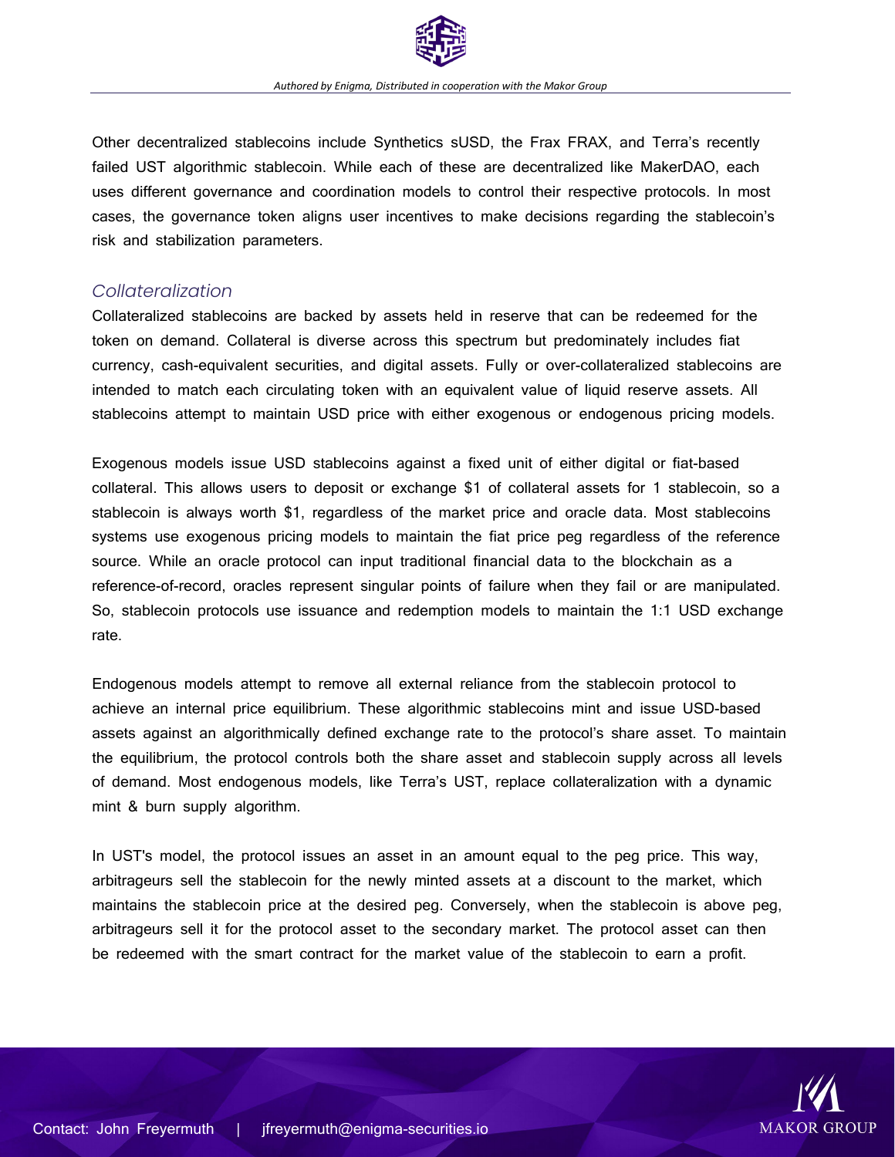

Other decentralized stablecoins include Synthetics sUSD, the Frax FRAX, and Terra's recently failed UST algorithmic stablecoin. While each of these are decentralized like MakerDAO, each uses different governance and coordination models to control their respective protocols. In most cases, the governance token aligns user incentives to make decisions regarding the stablecoin's risk and stabilization parameters.

## *Collateralization*

Collateralized stablecoins are backed by assets held in reserve that can be redeemed for the token on demand. Collateral is diverse across this spectrum but predominately includes fiat currency, cash-equivalent securities, and digital assets. Fully or over-collateralized stablecoins are intended to match each circulating token with an equivalent value of liquid reserve assets. All stablecoins attempt to maintain USD price with either exogenous or endogenous pricing models.

Exogenous models issue USD stablecoins against a fixed unit of either digital or fiat-based collateral. This allows users to deposit or exchange \$1 of collateral assets for 1 stablecoin, so a stablecoin is always worth \$1, regardless of the market price and oracle data. Most stablecoins systems use exogenous pricing models to maintain the fiat price peg regardless of the reference source. While an oracle protocol can input traditional financial data to the blockchain as a reference-of-record, oracles represent singular points of failure when they fail or are manipulated. So, stablecoin protocols use issuance and redemption models to maintain the 1:1 USD exchange rate.

Endogenous models attempt to remove all external reliance from the stablecoin protocol to achieve an internal price equilibrium. These algorithmic stablecoins mint and issue USD-based assets against an algorithmically defined exchange rate to the protocol's share asset. To maintain the equilibrium, the protocol controls both the share asset and stablecoin supply across all levels of demand. Most endogenous models, like Terra's UST, replace collateralization with a dynamic mint & burn supply algorithm.

In UST's model, the protocol issues an asset in an amount equal to the peg price. This way, arbitrageurs sell the stablecoin for the newly minted assets at a discount to the market, which maintains the stablecoin price at the desired peg. Conversely, when the stablecoin is above peg, arbitrageurs sell it for the protocol asset to the secondary market. The protocol asset can then be redeemed with the smart contract for the market value of the stablecoin to earn a profit.

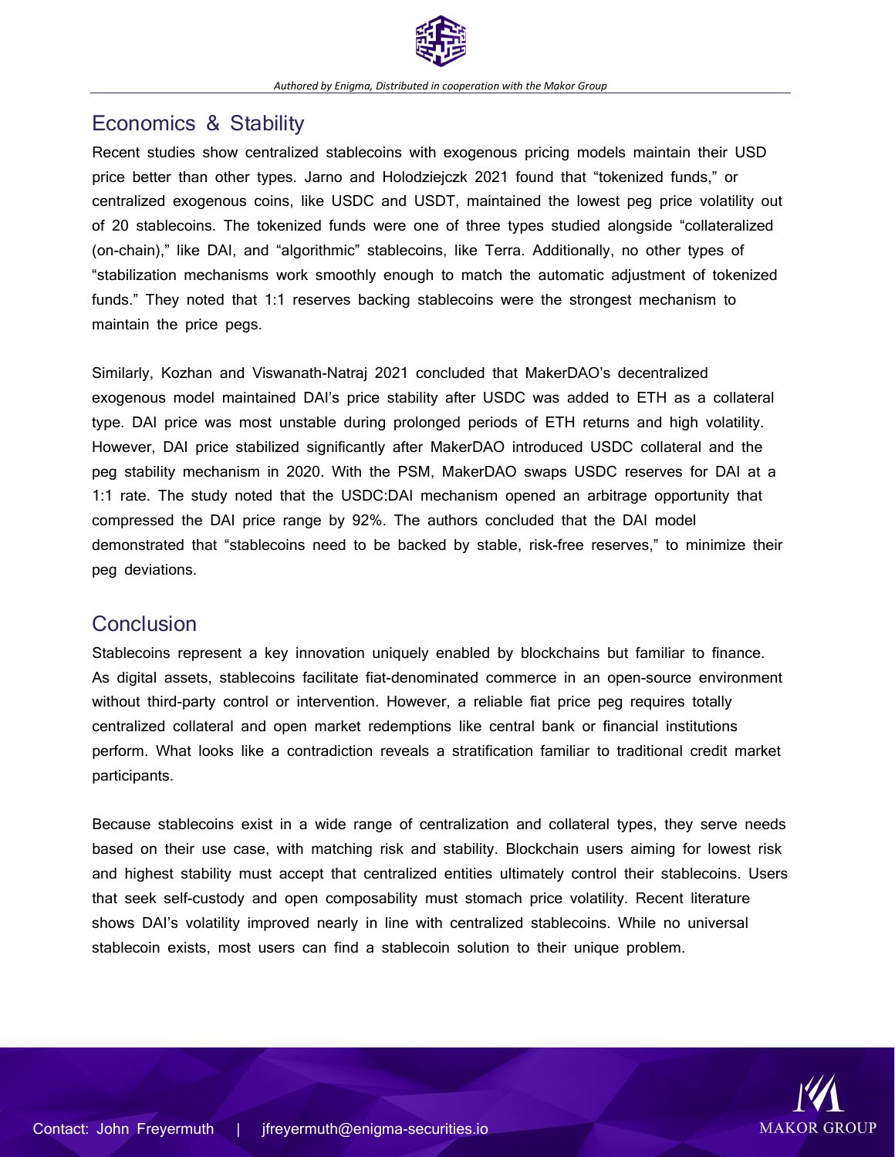

# Economics & Stability

Recent studies show centralized stablecoins with exogenous pricing models maintain their USD price better than other types. Jarno and Holodziejczk 2021 found that "tokenized funds," or centralized exogenous coins, like USDC and USDT, maintained the lowest peg price volatility out of 20 stablecoins. The tokenized funds were one of three types studied alongside "collateralized (on-chain)," like DAI, and "algorithmic" stablecoins, like Terra. Additionally, no other types of "stabilization mechanisms work smoothly enough to match the automatic adjustment of tokenized funds." They noted that 1:1 reserves backing stablecoins were the strongest mechanism to maintain the price pegs.

Similarly, Kozhan and Viswanath-Natraj 2021 concluded that MakerDAO's decentralized exogenous model maintained DAI's price stability after USDC was added to ETH as a collateral type. DAI price was most unstable during prolonged periods of ETH returns and high volatility. However, DAI price stabilized significantly after MakerDAO introduced USDC collateral and the peg stability mechanism in 2020. With the PSM, MakerDAO swaps USDC reserves for DAI at a 1:1 rate. The study noted that the USDC:DAI mechanism opened an arbitrage opportunity that compressed the DAI price range by 92%. The authors concluded that the DAI model demonstrated that "stablecoins need to be backed by stable, risk-free reserves," to minimize their peg deviations.

# **Conclusion**

Stablecoins represent a key innovation uniquely enabled by blockchains but familiar to finance. As digital assets, stablecoins facilitate fiat-denominated commerce in an open-source environment without third-party control or intervention. However, a reliable fiat price peg requires totally centralized collateral and open market redemptions like central bank or financial institutions perform. What looks like a contradiction reveals a stratification familiar to traditional credit market participants.

Because stablecoins exist in a wide range of centralization and collateral types, they serve needs based on their use case, with matching risk and stability. Blockchain users aiming for lowest risk and highest stability must accept that centralized entities ultimately control their stablecoins. Users that seek self-custody and open composability must stomach price volatility. Recent literature shows DAI's volatility improved nearly in line with centralized stablecoins. While no universal stablecoin exists, most users can find a stablecoin solution to their unique problem.